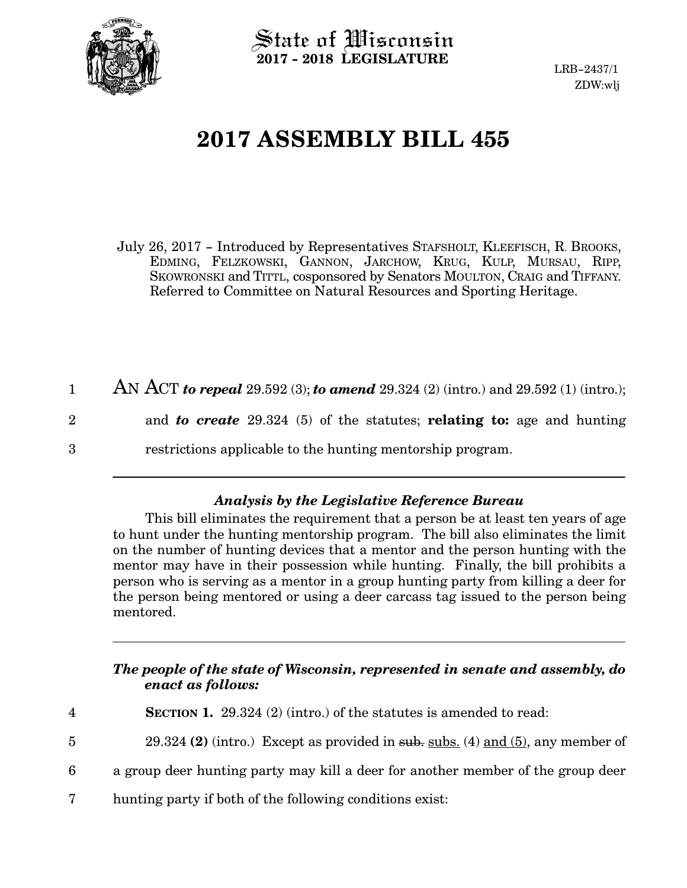

 $\operatorname{\mathsf{State}}$  of Wisconsin **2017 - 2018 LEGISLATURE**

LRB-2437/1 ZDW:wlj

## **2017 ASSEMBLY BILL 455**

July 26, 2017 - Introduced by Representatives STAFSHOLT, KLEEFISCH, R. BROOKS, EDMING, FELZKOWSKI, GANNON, JARCHOW, KRUG, KULP, MURSAU, RIPP, SKOWRONSKI and TITTL, cosponsored by Senators MOULTON, CRAIG and TIFFANY. Referred to Committee on Natural Resources and Sporting Heritage.

| AN ACT to repeal 29.592 (3); to amend 29.324 (2) (intro.) and 29.592 (1) (intro.);                     |  |
|--------------------------------------------------------------------------------------------------------|--|
| and <b>to create</b> 29.324 (5) of the statutes; <b>relating to:</b> age and hunting<br>$\overline{2}$ |  |
| restrictions applicable to the hunting mentorship program.<br>3                                        |  |

## *Analysis by the Legislative Reference Bureau*

This bill eliminates the requirement that a person be at least ten years of age to hunt under the hunting mentorship program. The bill also eliminates the limit on the number of hunting devices that a mentor and the person hunting with the mentor may have in their possession while hunting. Finally, the bill prohibits a person who is serving as a mentor in a group hunting party from killing a deer for the person being mentored or using a deer carcass tag issued to the person being mentored.

## *The people of the state of Wisconsin, represented in senate and assembly, do enact as follows:*

- **SECTION 1.** 29.324 (2) (intro.) of the statutes is amended to read: 4
- 29.324 **(2)** (intro.) Except as provided in sub. subs. (4) and (5), any member of 5
- a group deer hunting party may kill a deer for another member of the group deer 6
- hunting party if both of the following conditions exist: 7